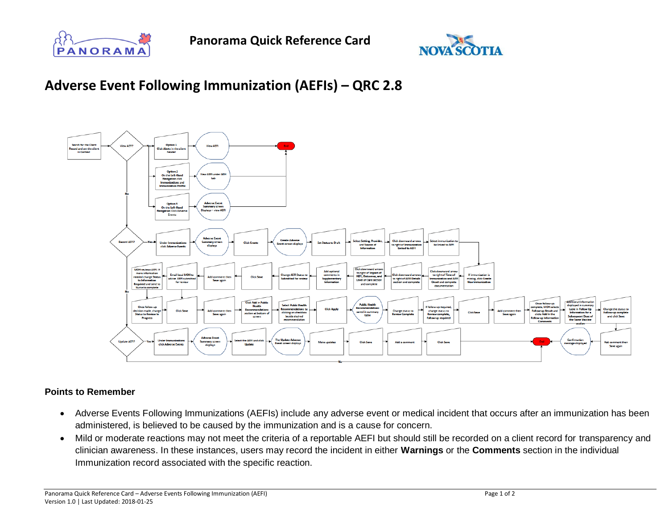



## **Adverse Event Following Immunization (AEFIs) – QRC 2.8**



## **Points to Remember**

- Adverse Events Following Immunizations (AEFIs) include any adverse event or medical incident that occurs after an immunization has been administered, is believed to be caused by the immunization and is a cause for concern.
- Mild or moderate reactions may not meet the criteria of a reportable AEFI but should still be recorded on a client record for transparency and clinician awareness. In these instances, users may record the incident in either **Warnings** or the **Comments** section in the individual Immunization record associated with the specific reaction.